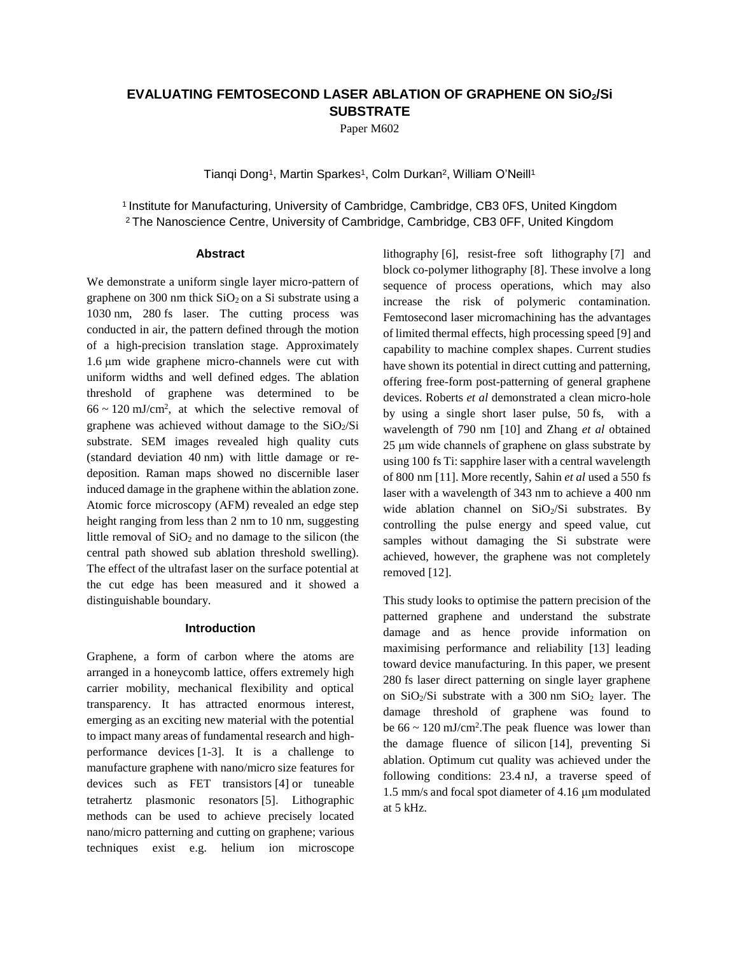# **EVALUATING FEMTOSECOND LASER ABLATION OF GRAPHENE ON SiO2/Si SUBSTRATE**

Paper M602

Tianqi Dong<sup>1</sup>, Martin Sparkes<sup>1</sup>, Colm Durkan<sup>2</sup>, William O'Neill<sup>1</sup>

<sup>1</sup> Institute for Manufacturing, University of Cambridge, Cambridge, CB3 0FS, United Kingdom <sup>2</sup> The Nanoscience Centre, University of Cambridge, Cambridge, CB3 0FF, United Kingdom

#### **Abstract**

We demonstrate a uniform single layer micro-pattern of graphene on 300 nm thick  $SiO<sub>2</sub>$  on a Si substrate using a 1030 nm, 280 fs laser. The cutting process was conducted in air, the pattern defined through the motion of a high-precision translation stage. Approximately 1.6 μm wide graphene micro-channels were cut with uniform widths and well defined edges. The ablation threshold of graphene was determined to be  $66 \sim 120$  mJ/cm<sup>2</sup>, at which the selective removal of graphene was achieved without damage to the  $SiO<sub>2</sub>/Si$ substrate. SEM images revealed high quality cuts (standard deviation 40 nm) with little damage or redeposition. Raman maps showed no discernible laser induced damage in the graphene within the ablation zone. Atomic force microscopy (AFM) revealed an edge step height ranging from less than 2 nm to 10 nm, suggesting little removal of  $SiO<sub>2</sub>$  and no damage to the silicon (the central path showed sub ablation threshold swelling). The effect of the ultrafast laser on the surface potential at the cut edge has been measured and it showed a distinguishable boundary.

# **Introduction**

Graphene, a form of carbon where the atoms are arranged in a honeycomb lattice, offers extremely high carrier mobility, mechanical flexibility and optical transparency. It has attracted enormous interest, emerging as an exciting new material with the potential to impact many areas of fundamental research and highperformance devices [1-3]. It is a challenge to manufacture graphene with nano/micro size features for devices such as FET transistors [4] or tuneable tetrahertz plasmonic resonators [5]. Lithographic methods can be used to achieve precisely located nano/micro patterning and cutting on graphene; various techniques exist e.g. helium ion microscope

lithography [6], resist-free soft lithography [7] and block co-polymer lithography [8]. These involve a long sequence of process operations, which may also increase the risk of polymeric contamination. Femtosecond laser micromachining has the advantages of limited thermal effects, high processing speed [9] and capability to machine complex shapes. Current studies have shown its potential in direct cutting and patterning, offering free-form post-patterning of general graphene devices. Roberts *et al* demonstrated a clean micro-hole by using a single short laser pulse, 50 fs, with a wavelength of 790 nm [10] and Zhang *et al* obtained 25 μm wide channels of graphene on glass substrate by using 100 fs Ti: sapphire laser with a central wavelength of 800 nm [11]. More recently, Sahin *et al* used a 550 fs laser with a wavelength of 343 nm to achieve a 400 nm wide ablation channel on  $SiO_2/Si$  substrates. By controlling the pulse energy and speed value, cut samples without damaging the Si substrate were achieved, however, the graphene was not completely removed [12].

This study looks to optimise the pattern precision of the patterned graphene and understand the substrate damage and as hence provide information on maximising performance and reliability [13] leading toward device manufacturing. In this paper, we present 280 fs laser direct patterning on single layer graphene on  $SiO<sub>2</sub>/Si$  substrate with a 300 nm  $SiO<sub>2</sub>$  layer. The damage threshold of graphene was found to be  $66 \sim 120 \text{ mJ/cm}^2$ . The peak fluence was lower than the damage fluence of silicon [14], preventing Si ablation. Optimum cut quality was achieved under the following conditions: 23.4 nJ, a traverse speed of 1.5 mm/s and focal spot diameter of 4.16 μm modulated at 5 kHz.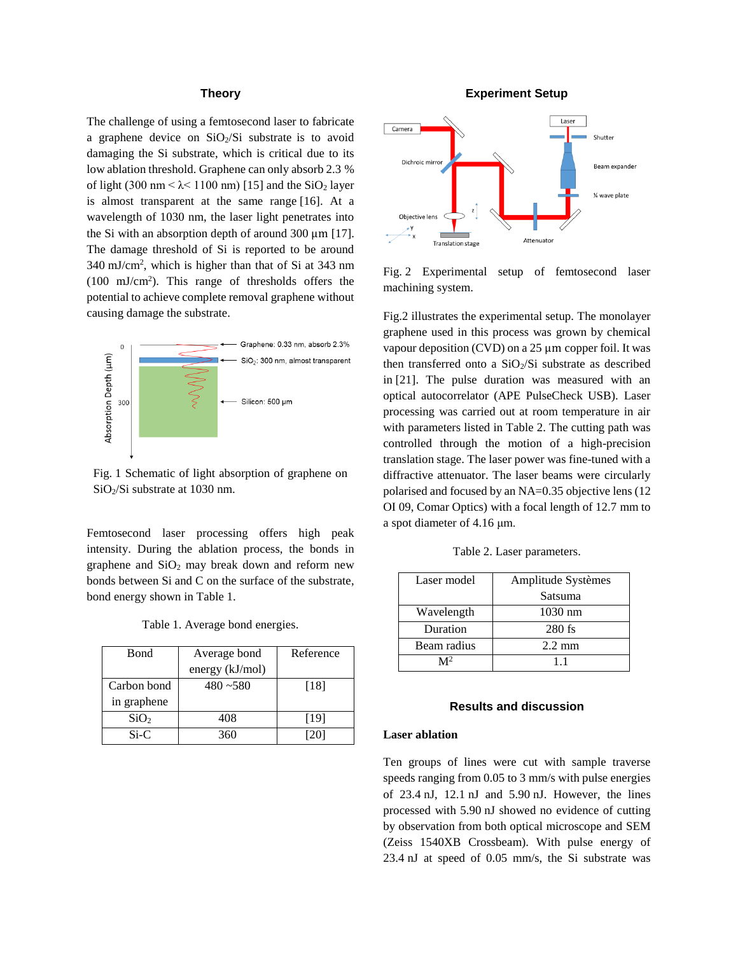# **Theory**

The challenge of using a femtosecond laser to fabricate a graphene device on  $SiO<sub>2</sub>/Si$  substrate is to avoid damaging the Si substrate, which is critical due to its low ablation threshold. Graphene can only absorb 2.3 % of light (300 nm  $< \lambda < 1100$  nm) [15] and the SiO<sub>2</sub> layer is almost transparent at the same range [16]. At a wavelength of 1030 nm, the laser light penetrates into the Si with an absorption depth of around 300 μm [17]. The damage threshold of Si is reported to be around 340 mJ/cm<sup>2</sup> , which is higher than that of Si at 343 nm  $(100 \text{ mJ/cm}^2)$ . This range of thresholds offers the potential to achieve complete removal graphene without causing damage the substrate.



Fig. 1 Schematic of light absorption of graphene on SiO2/Si substrate at 1030 nm.

Femtosecond laser processing offers high peak intensity. During the ablation process, the bonds in graphene and  $SiO<sub>2</sub>$  may break down and reform new bonds between Si and C on the surface of the substrate, bond energy shown in Table 1.

| Table 1. Average bond energies. |  |  |
|---------------------------------|--|--|
|---------------------------------|--|--|

| <b>Bond</b>      | Average bond    | Reference |
|------------------|-----------------|-----------|
|                  | energy (kJ/mol) |           |
| Carbon bond      | $480 - 580$     | [18]      |
| in graphene      |                 |           |
| SiO <sub>2</sub> | 408             | [19]      |
| $Si-C$           | 360             | [20]      |

# **Experiment Setup**



Fig. 2 Experimental setup of femtosecond laser machining system.

Fig.2 illustrates the experimental setup. The monolayer graphene used in this process was grown by chemical vapour deposition (CVD) on a 25 μm copper foil. It was then transferred onto a SiO<sub>2</sub>/Si substrate as described in [21]. The pulse duration was measured with an optical autocorrelator (APE PulseCheck USB). Laser processing was carried out at room temperature in air with parameters listed in Table 2. The cutting path was controlled through the motion of a high-precision translation stage. The laser power was fine-tuned with a diffractive attenuator. The laser beams were circularly polarised and focused by an NA=0.35 objective lens (12 OI 09, Comar Optics) with a focal length of 12.7 mm to a spot diameter of 4.16 μm.

Table 2. Laser parameters.

| Laser model | Amplitude Systèmes |  |
|-------------|--------------------|--|
|             | Satsuma            |  |
| Wavelength  | $1030$ nm          |  |
| Duration    | $280$ fs           |  |
| Beam radius | $2.2 \text{ mm}$   |  |
|             | 11                 |  |

## **Results and discussion**

## **Laser ablation**

Ten groups of lines were cut with sample traverse speeds ranging from 0.05 to 3 mm/s with pulse energies of 23.4 nJ, 12.1 nJ and 5.90 nJ. However, the lines processed with 5.90 nJ showed no evidence of cutting by observation from both optical microscope and SEM (Zeiss 1540XB Crossbeam). With pulse energy of 23.4 nJ at speed of 0.05 mm/s, the Si substrate was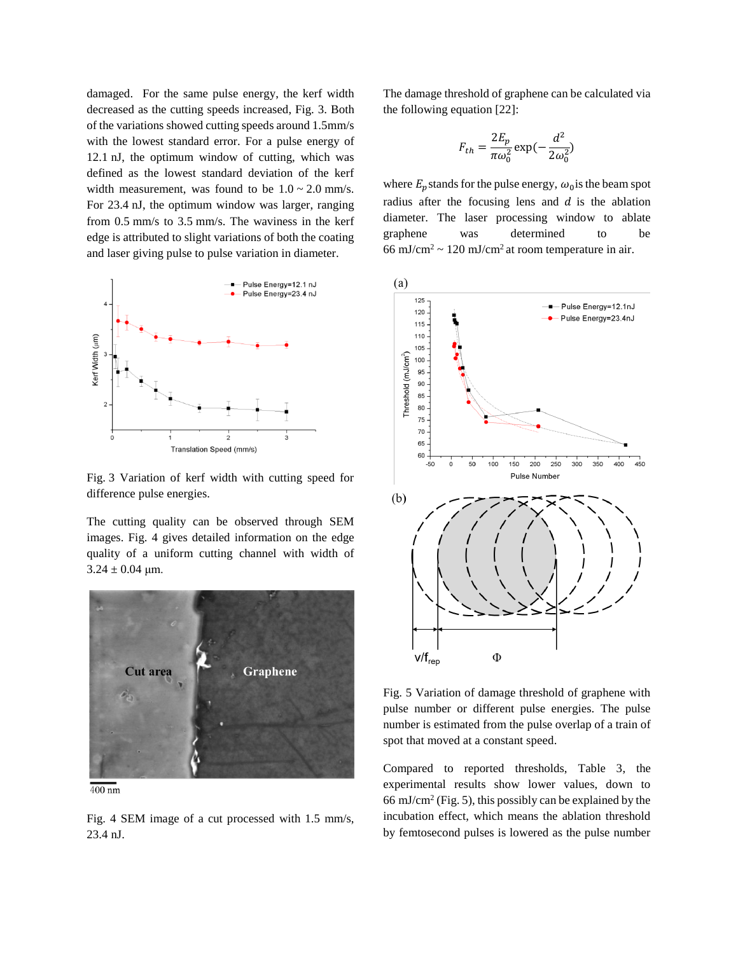damaged. For the same pulse energy, the kerf width decreased as the cutting speeds increased, Fig. 3. Both of the variations showed cutting speeds around 1.5mm/s with the lowest standard error. For a pulse energy of 12.1 nJ, the optimum window of cutting, which was defined as the lowest standard deviation of the kerf width measurement, was found to be  $1.0 \sim 2.0$  mm/s. For 23.4 nJ, the optimum window was larger, ranging from 0.5 mm/s to 3.5 mm/s. The waviness in the kerf edge is attributed to slight variations of both the coating and laser giving pulse to pulse variation in diameter.



Fig. 3 Variation of kerf width with cutting speed for difference pulse energies.

The cutting quality can be observed through SEM images. Fig. 4 gives detailed information on the edge quality of a uniform cutting channel with width of  $3.24 \pm 0.04$  μm.



 $\frac{400 \text{ nm}}{400 \text{ nm}}$ 

Fig. 4 SEM image of a cut processed with 1.5 mm/s, 23.4 nJ.

The damage threshold of graphene can be calculated via the following equation [22]:

$$
F_{th} = \frac{2E_p}{\pi \omega_0^2} \exp(-\frac{d^2}{2\omega_0^2})
$$

where  $E_p$  stands for the pulse energy,  $\omega_0$  is the beam spot radius after the focusing lens and  $d$  is the ablation diameter. The laser processing window to ablate graphene was determined to be 66 mJ/cm<sup>2</sup> ~ 120 mJ/cm<sup>2</sup> at room temperature in air.



Fig. 5 Variation of damage threshold of graphene with pulse number or different pulse energies. The pulse number is estimated from the pulse overlap of a train of spot that moved at a constant speed.

Compared to reported thresholds, Table 3, the experimental results show lower values, down to 66 mJ/cm<sup>2</sup> (Fig. 5), this possibly can be explained by the incubation effect, which means the ablation threshold by femtosecond pulses is lowered as the pulse number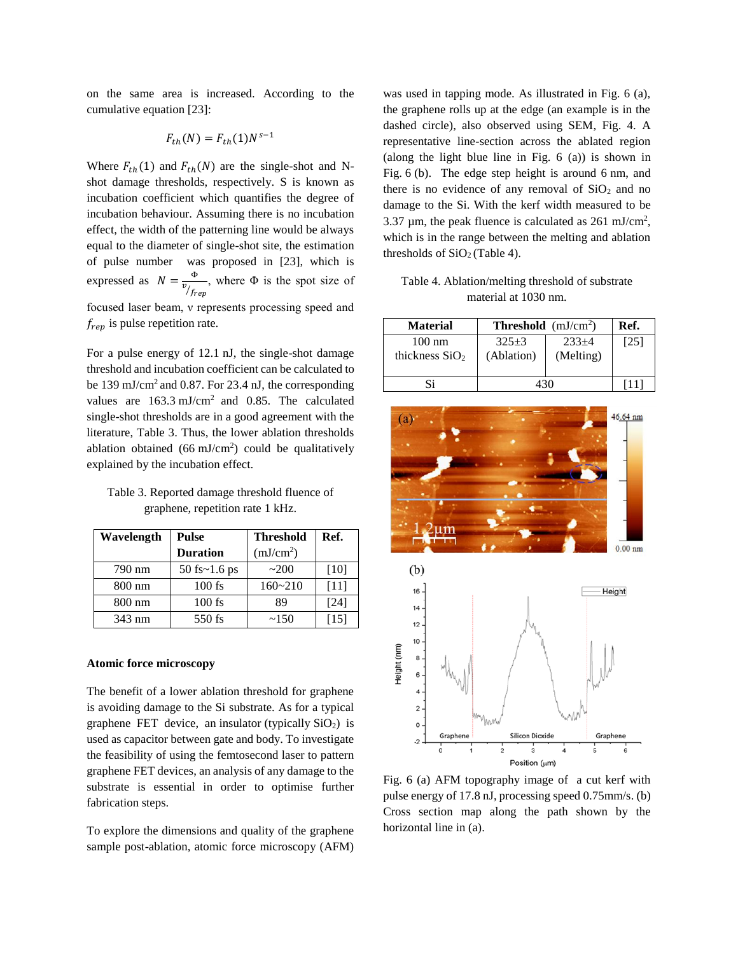on the same area is increased. According to the cumulative equation [23]:

$$
F_{th}(N) = F_{th}(1)N^{s-1}
$$

Where  $F_{th}(1)$  and  $F_{th}(N)$  are the single-shot and Nshot damage thresholds, respectively. S is known as incubation coefficient which quantifies the degree of incubation behaviour. Assuming there is no incubation effect, the width of the patterning line would be always equal to the diameter of single-shot site, the estimation of pulse number was proposed in [23], which is expressed as  $N = \frac{\Phi}{n_e}$  $v_{/f_{rep}}$ , where  $\Phi$  is the spot size of focused laser beam, ν represents processing speed and

For a pulse energy of 12.1 nJ, the single-shot damage threshold and incubation coefficient can be calculated to be 139 mJ/cm<sup>2</sup> and 0.87. For 23.4 nJ, the corresponding values are  $163.3 \text{ mJ/cm}^2$  and 0.85. The calculated single-shot thresholds are in a good agreement with the literature, Table 3. Thus, the lower ablation thresholds ablation obtained  $(66 \text{ mJ/cm}^2)$  could be qualitatively explained by the incubation effect.

Table 3. Reported damage threshold fluence of graphene, repetition rate 1 kHz.

| Wavelength       | Pulse           | <b>Threshold</b>      | Ref.   |
|------------------|-----------------|-----------------------|--------|
|                  | <b>Duration</b> | (mJ/cm <sup>2</sup> ) |        |
| 790 nm           | 50 fs~1.6 ps    | $-200$                | [10]   |
| $800 \text{ nm}$ | $100$ fs        | $160 - 210$           | $[11]$ |
| $800 \text{ nm}$ | $100$ fs        | 89                    | [24]   |
| 343 nm           | $550$ fs        | ~150                  | [15]   |

#### **Atomic force microscopy**

 $f_{rep}$  is pulse repetition rate.

The benefit of a lower ablation threshold for graphene is avoiding damage to the Si substrate. As for a typical graphene FET device, an [insulator](http://en.wikipedia.org/wiki/Electrical_insulation) (typically  $SiO<sub>2</sub>$  $SiO<sub>2</sub>$ ) is used as capacitor between gate and body. To investigate the feasibility of using the femtosecond laser to pattern graphene FET devices, an analysis of any damage to the substrate is essential in order to optimise further fabrication steps.

To explore the dimensions and quality of the graphene sample post-ablation, atomic force microscopy (AFM)

was used in tapping mode. As illustrated in Fig. 6 (a), the graphene rolls up at the edge (an example is in the dashed circle), also observed using SEM, Fig. 4. A representative line-section across the ablated region (along the light blue line in Fig. 6 (a)) is shown in Fig. 6 (b). The edge step height is around 6 nm, and there is no evidence of any removal of  $SiO<sub>2</sub>$  and no damage to the Si. With the kerf width measured to be 3.37  $\mu$ m, the peak fluence is calculated as 261 mJ/cm<sup>2</sup>, which is in the range between the melting and ablation thresholds of  $SiO<sub>2</sub>$  (Table 4).

Table 4. Ablation/melting threshold of substrate material at 1030 nm.

| <b>Material</b>                      | <b>Threshold</b> $(mJ/cm2)$ |                      | Ref. |
|--------------------------------------|-----------------------------|----------------------|------|
| $100 \text{ nm}$<br>thickness $SiO2$ | $325+3$<br>(Ablation)       | $233+4$<br>(Melting) | [25] |
| Si                                   |                             |                      |      |



Fig. 6 (a) AFM topography image of a cut kerf with pulse energy of 17.8 nJ, processing speed 0.75mm/s. (b) Cross section map along the path shown by the horizontal line in (a).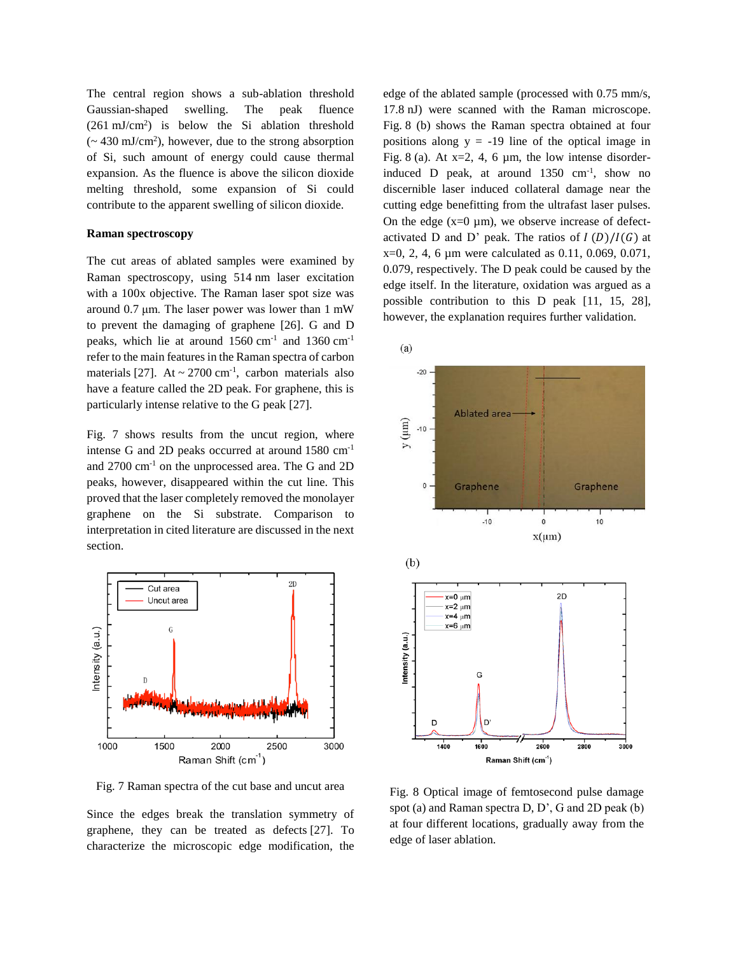The central region shows a sub-ablation threshold Gaussian-shaped swelling. The peak fluence  $(261 \text{ mJ/cm}^2)$  is below the Si ablation threshold  $\approx$  430 mJ/cm<sup>2</sup>), however, due to the strong absorption of Si, such amount of energy could cause thermal expansion. As the fluence is above the silicon dioxide melting threshold, some expansion of Si could contribute to the apparent swelling of silicon dioxide.

## **Raman spectroscopy**

The cut areas of ablated samples were examined by Raman spectroscopy, using 514 nm laser excitation with a 100x objective. The Raman laser spot size was around 0.7 μm. The laser power was lower than 1 mW to prevent the damaging of graphene [26]. G and D peaks, which lie at around 1560 cm<sup>-1</sup> and 1360 cm<sup>-1</sup> refer to the main features in the Raman spectra of carbon materials [27]. At  $\sim$  2700 cm<sup>-1</sup>, carbon materials also have a feature called the 2D peak. For graphene, this is particularly intense relative to the G peak [27].

Fig. 7 shows results from the uncut region, where intense G and 2D peaks occurred at around 1580 cm-1 and 2700 cm-1 on the unprocessed area. The G and 2D peaks, however, disappeared within the cut line. This proved that the laser completely removed the monolayer graphene on the Si substrate. Comparison to interpretation in cited literature are discussed in the next section.



Fig. 7 Raman spectra of the cut base and uncut area

Since the edges break the translation symmetry of graphene, they can be treated as defects [27]. To characterize the microscopic edge modification, the edge of the ablated sample (processed with 0.75 mm/s, 17.8 nJ) were scanned with the Raman microscope. Fig. 8 (b) shows the Raman spectra obtained at four positions along  $y = -19$  line of the optical image in Fig. 8 (a). At  $x=2$ , 4, 6  $\mu$ m, the low intense disorderinduced D peak, at around  $1350 \text{ cm}^{-1}$ , show no discernible laser induced collateral damage near the cutting edge benefitting from the ultrafast laser pulses. On the edge  $(x=0 \mu m)$ , we observe increase of defectactivated D and D' peak. The ratios of  $I(D)/I(G)$  at x=0, 2, 4, 6 µm were calculated as 0.11, 0.069, 0.071, 0.079, respectively. The D peak could be caused by the edge itself. In the literature, oxidation was argued as a possible contribution to this D peak [11, 15, 28], however, the explanation requires further validation.



Fig. 8 Optical image of femtosecond pulse damage spot (a) and Raman spectra D, D', G and 2D peak (b) at four different locations, gradually away from the edge of laser ablation.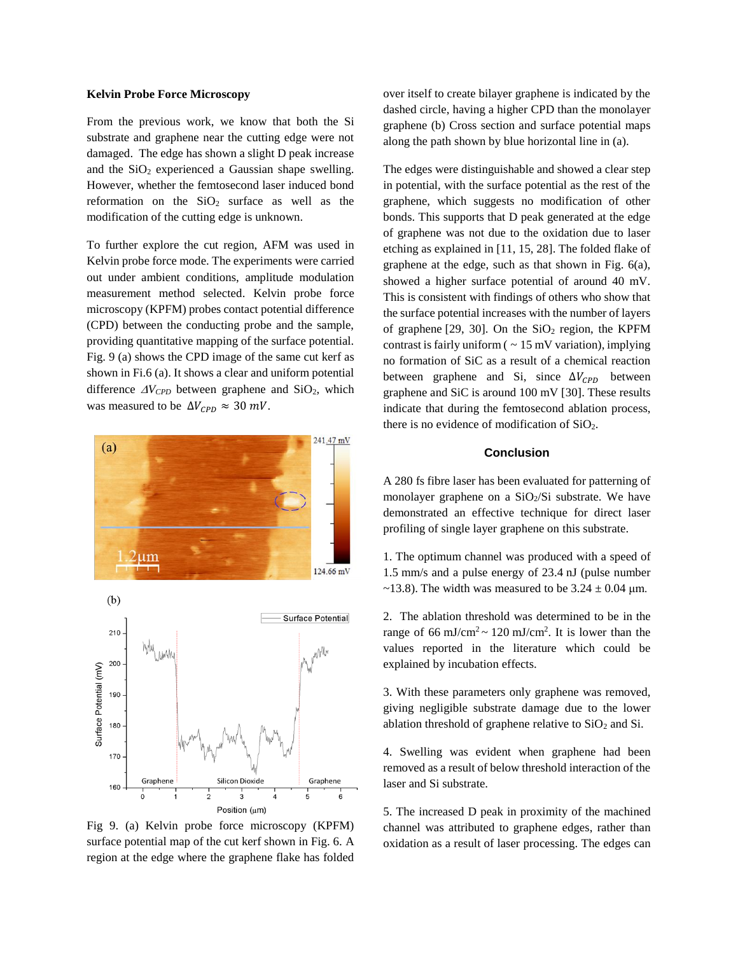#### **Kelvin Probe Force Microscopy**

From the previous work, we know that both the Si substrate and graphene near the cutting edge were not damaged. The edge has shown a slight D peak increase and the  $SiO<sub>2</sub>$  experienced a Gaussian shape swelling. However, whether the femtosecond laser induced bond reformation on the  $SiO<sub>2</sub>$  surface as well as the modification of the cutting edge is unknown.

To further explore the cut region, AFM was used in Kelvin probe force mode. The experiments were carried out under ambient conditions, amplitude modulation measurement method selected. Kelvin probe force microscopy (KPFM) probes contact potential difference (CPD) between the conducting probe and the sample, providing quantitative mapping of the surface potential. Fig. 9 (a) shows the CPD image of the same cut kerf as shown in Fi.6 (a). It shows a clear and uniform potential difference  $\Delta V_{CPD}$  between graphene and SiO<sub>2</sub>, which was measured to be  $\Delta V_{CPD} \approx 30 \, \text{mV}$ .



Fig 9. (a) Kelvin probe force microscopy (KPFM) surface potential map of the cut kerf shown in Fig. 6. A region at the edge where the graphene flake has folded

over itself to create bilayer graphene is indicated by the dashed circle, having a higher CPD than the monolayer graphene (b) Cross section and surface potential maps along the path shown by blue horizontal line in (a).

The edges were distinguishable and showed a clear step in potential, with the surface potential as the rest of the graphene, which suggests no modification of other bonds. This supports that D peak generated at the edge of graphene was not due to the oxidation due to laser etching as explained in [11, 15, 28]. The folded flake of graphene at the edge, such as that shown in Fig. 6(a), showed a higher surface potential of around 40 mV. This is consistent with findings of others who show that the surface potential increases with the number of layers of graphene  $[29, 30]$ . On the SiO<sub>2</sub> region, the KPFM contrast is fairly uniform  $( \sim 15 \text{ mV}$  variation), implying no formation of SiC as a result of a chemical reaction between graphene and Si, since  $\Delta V_{CPD}$  between graphene and SiC is around 100 mV [30]. These results indicate that during the femtosecond ablation process, there is no evidence of modification of SiO2.

## **Conclusion**

A 280 fs fibre laser has been evaluated for patterning of monolayer graphene on a  $SiO<sub>2</sub>/Si$  substrate. We have demonstrated an effective technique for direct laser profiling of single layer graphene on this substrate.

1. The optimum channel was produced with a speed of 1.5 mm/s and a pulse energy of 23.4 nJ (pulse number  $\sim$ 13.8). The width was measured to be 3.24  $\pm$  0.04 µm.

2. The ablation threshold was determined to be in the range of 66 mJ/cm<sup>2</sup> ~ 120 mJ/cm<sup>2</sup>. It is lower than the values reported in the literature which could be explained by incubation effects.

3. With these parameters only graphene was removed, giving negligible substrate damage due to the lower ablation threshold of graphene relative to  $SiO<sub>2</sub>$  and Si.

4. Swelling was evident when graphene had been removed as a result of below threshold interaction of the laser and Si substrate.

5. The increased D peak in proximity of the machined channel was attributed to graphene edges, rather than oxidation as a result of laser processing. The edges can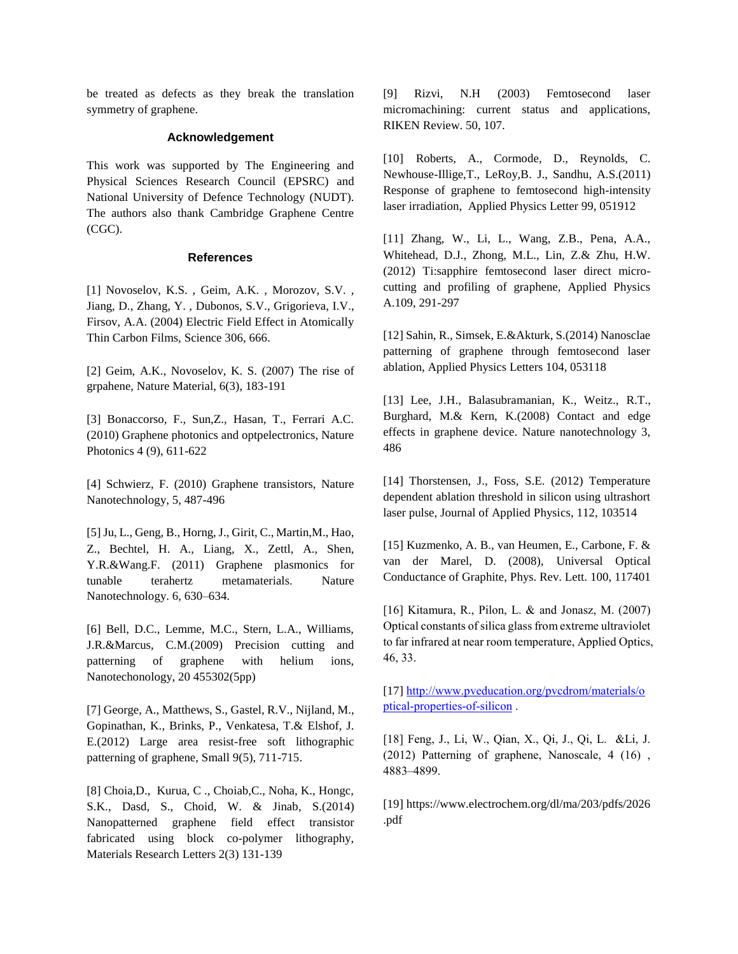be treated as defects as they break the translation symmetry of graphene.

## **Acknowledgement**

This work was supported by The Engineering and Physical Sciences Research Council (EPSRC) and National University of Defence Technology (NUDT). The authors also thank Cambridge Graphene Centre (CGC).

## **References**

[1] Novoselov, K.S. , Geim, A.K. , Morozov, S.V. , Jiang, D., Zhang, Y. , Dubonos, S.V., Grigorieva, I.V., Firsov, A.A. (2004) Electric Field Effect in Atomically Thin Carbon Films, Science 306, 666.

[2] Geim, A.K., Novoselov, K. S. (2007) The rise of grpahene, Nature Material, 6(3), 183-191

[3] Bonaccorso, F., Sun,Z., Hasan, T., Ferrari A.C. (2010) Graphene photonics and optpelectronics, Nature Photonics 4 (9), 611-622

[4] Schwierz, F. (2010) Graphene transistors, Nature Nanotechnology, 5, 487-496

[5] Ju, L., Geng, B., Horng, J., Girit, C., Martin,M., Hao, Z., Bechtel, H. A., Liang, X., Zettl, A., Shen, Y.R.&Wang.F. (2011) Graphene plasmonics for tunable terahertz metamaterials. Nature Nanotechnology. 6, 630–634.

[6] Bell, D.C., Lemme, M.C., Stern, L.A., Williams, J.R.&Marcus, C.M.(2009) Precision cutting and patterning of graphene with helium ions, Nanotechonology, 20 455302(5pp)

[7] George, A., Matthews, S., Gastel, R.V., Nijland, M., Gopinathan, K., Brinks, P., Venkatesa, T.& Elshof, J. E.(2012) Large area resist-free soft lithographic patterning of graphene, Small 9(5), 711-715.

[8] Choia,D., Kurua, C ., Choiab,C., Noha, K., Hongc, S.K., Dasd, S., Choid, W. & Jinab, S.(2014) Nanopatterned graphene field effect transistor fabricated using block co-polymer lithography, Materials Research Letters 2(3) 131-139

[9] Rizvi, N.H (2003) Femtosecond laser micromachining: current status and applications, RIKEN Review. 50, 107.

[10] Roberts, A., Cormode, D., Reynolds, C. Newhouse-Illige,T., LeRoy,B. J., Sandhu, A.S.(2011) Response of graphene to femtosecond high-intensity laser irradiation, Applied Physics Letter 99, 051912

[11] Zhang, W., Li, L., Wang, Z.B., Pena, A.A., Whitehead, D.J., Zhong, M.L., Lin, Z.& Zhu, H.W. (2012) Ti:sapphire femtosecond laser direct microcutting and profiling of graphene, Applied Physics A.109, 291-297

[12] Sahin, R., Simsek, E.&Akturk, S.(2014) Nanosclae patterning of graphene through femtosecond laser ablation, Applied Physics Letters 104, 053118

[13] Lee, J.H., Balasubramanian, K., Weitz., R.T., Burghard, M.& Kern, K.(2008) Contact and edge effects in graphene device. Nature nanotechnology 3, 486

[14] Thorstensen, J., Foss, S.E. (2012) Temperature dependent ablation threshold in silicon using ultrashort laser pulse, Journal of Applied Physics, 112, 103514

[15] Kuzmenko, A. B., van Heumen, E., Carbone, F. & van der Marel, D. (2008), Universal Optical Conductance of Graphite, Phys. Rev. Lett. 100, 117401

[16] Kitamura, R., Pilon, L. & and Jonasz, M. (2007) Optical constants of silica glass from extreme ultraviolet to far infrared at near room temperature, Applied Optics, 46, 33.

[17] [http://www.pveducation.org/pvcdrom/materials/o](http://www.pveducation.org/pvcdrom/materials/optical-properties-of-silicon) [ptical-properties-of-silicon](http://www.pveducation.org/pvcdrom/materials/optical-properties-of-silicon) .

[18] Feng, J., Li, W., Qian, X., Qi, J., Qi, L. &Li, J. (2012) Patterning of graphene, Nanoscale, 4 (16) , 4883–4899.

[19] https://www.electrochem.org/dl/ma/203/pdfs/2026 .pdf